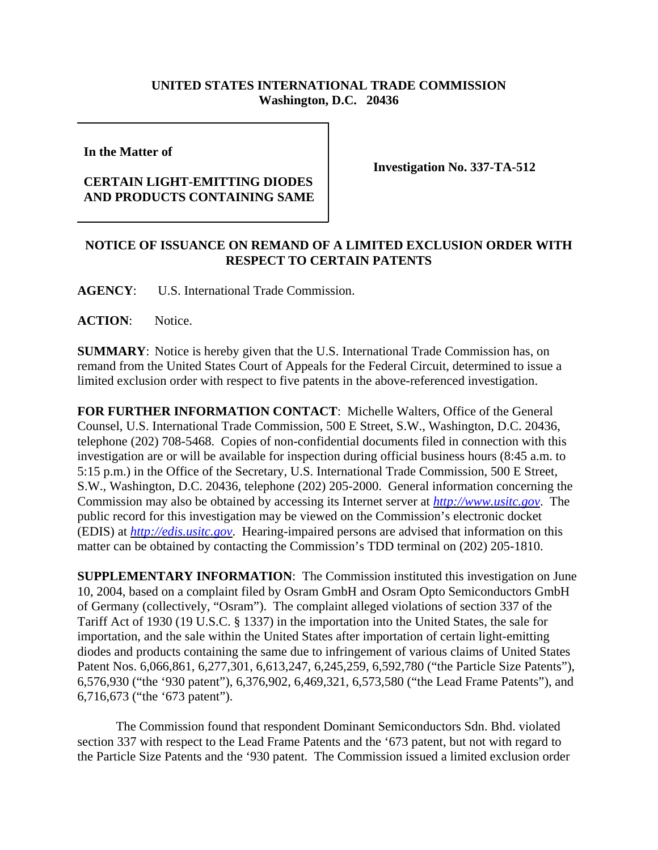## **UNITED STATES INTERNATIONAL TRADE COMMISSION Washington, D.C. 20436**

**In the Matter of** 

## **CERTAIN LIGHT-EMITTING DIODES AND PRODUCTS CONTAINING SAME**

**Investigation No. 337-TA-512**

## **NOTICE OF ISSUANCE ON REMAND OF A LIMITED EXCLUSION ORDER WITH RESPECT TO CERTAIN PATENTS**

**AGENCY**: U.S. International Trade Commission.

**ACTION**: Notice.

**SUMMARY**: Notice is hereby given that the U.S. International Trade Commission has, on remand from the United States Court of Appeals for the Federal Circuit, determined to issue a limited exclusion order with respect to five patents in the above-referenced investigation.

**FOR FURTHER INFORMATION CONTACT**: Michelle Walters, Office of the General Counsel, U.S. International Trade Commission, 500 E Street, S.W., Washington, D.C. 20436, telephone (202) 708-5468. Copies of non-confidential documents filed in connection with this investigation are or will be available for inspection during official business hours (8:45 a.m. to 5:15 p.m.) in the Office of the Secretary, U.S. International Trade Commission, 500 E Street, S.W., Washington, D.C. 20436, telephone (202) 205-2000. General information concerning the Commission may also be obtained by accessing its Internet server at *http://www.usitc.gov*. The public record for this investigation may be viewed on the Commission's electronic docket (EDIS) at *http://edis.usitc.gov*. Hearing-impaired persons are advised that information on this matter can be obtained by contacting the Commission's TDD terminal on (202) 205-1810.

**SUPPLEMENTARY INFORMATION**: The Commission instituted this investigation on June 10, 2004, based on a complaint filed by Osram GmbH and Osram Opto Semiconductors GmbH of Germany (collectively, "Osram"). The complaint alleged violations of section 337 of the Tariff Act of 1930 (19 U.S.C. § 1337) in the importation into the United States, the sale for importation, and the sale within the United States after importation of certain light-emitting diodes and products containing the same due to infringement of various claims of United States Patent Nos. 6,066,861, 6,277,301, 6,613,247, 6,245,259, 6,592,780 ("the Particle Size Patents"), 6,576,930 ("the '930 patent"), 6,376,902, 6,469,321, 6,573,580 ("the Lead Frame Patents"), and 6,716,673 ("the '673 patent").

The Commission found that respondent Dominant Semiconductors Sdn. Bhd. violated section 337 with respect to the Lead Frame Patents and the '673 patent, but not with regard to the Particle Size Patents and the '930 patent. The Commission issued a limited exclusion order